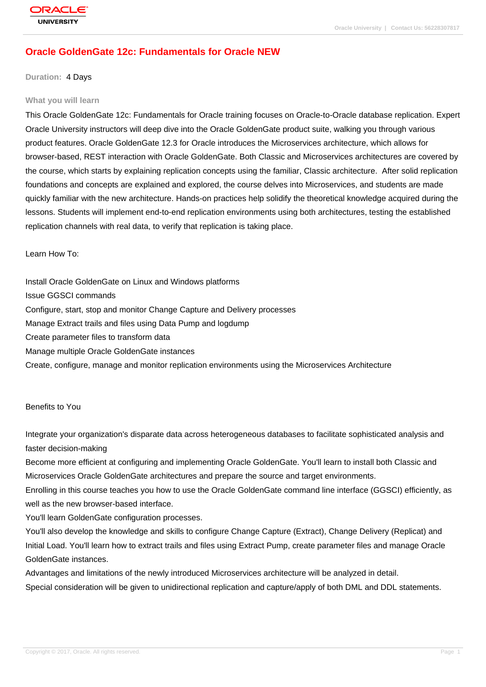# **[Oracle Golden](http://education.oracle.com/pls/web_prod-plq-dad/db_pages.getpage?page_id=3)Gate 12c: Fundamentals for Oracle NEW**

#### **Duration:** 4 Days

#### **What you will learn**

This Oracle GoldenGate 12c: Fundamentals for Oracle training focuses on Oracle-to-Oracle database replication. Expert Oracle University instructors will deep dive into the Oracle GoldenGate product suite, walking you through various product features. Oracle GoldenGate 12.3 for Oracle introduces the Microservices architecture, which allows for browser-based, REST interaction with Oracle GoldenGate. Both Classic and Microservices architectures are covered by the course, which starts by explaining replication concepts using the familiar, Classic architecture. After solid replication foundations and concepts are explained and explored, the course delves into Microservices, and students are made quickly familiar with the new architecture. Hands-on practices help solidify the theoretical knowledge acquired during the lessons. Students will implement end-to-end replication environments using both architectures, testing the established replication channels with real data, to verify that replication is taking place.

Learn How To:

Install Oracle GoldenGate on Linux and Windows platforms Issue GGSCI commands Configure, start, stop and monitor Change Capture and Delivery processes Manage Extract trails and files using Data Pump and logdump Create parameter files to transform data Manage multiple Oracle GoldenGate instances Create, configure, manage and monitor replication environments using the Microservices Architecture

#### Benefits to You

Integrate your organization's disparate data across heterogeneous databases to facilitate sophisticated analysis and faster decision-making

Become more efficient at configuring and implementing Oracle GoldenGate. You'll learn to install both Classic and Microservices Oracle GoldenGate architectures and prepare the source and target environments.

Enrolling in this course teaches you how to use the Oracle GoldenGate command line interface (GGSCI) efficiently, as well as the new browser-based interface.

You'll learn GoldenGate configuration processes.

You'll also develop the knowledge and skills to configure Change Capture (Extract), Change Delivery (Replicat) and Initial Load. You'll learn how to extract trails and files using Extract Pump, create parameter files and manage Oracle GoldenGate instances.

Advantages and limitations of the newly introduced Microservices architecture will be analyzed in detail. Special consideration will be given to unidirectional replication and capture/apply of both DML and DDL statements.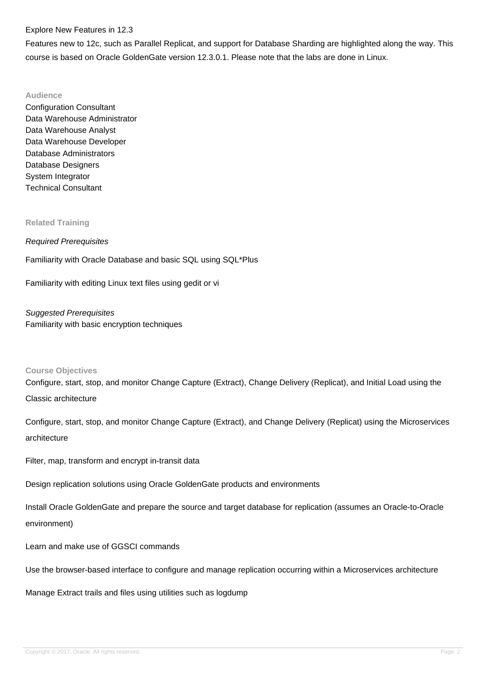#### Explore New Features in 12.3

Features new to 12c, such as Parallel Replicat, and support for Database Sharding are highlighted along the way. This course is based on Oracle GoldenGate version 12.3.0.1. Please note that the labs are done in Linux.

#### **Audience**

Configuration Consultant Data Warehouse Administrator Data Warehouse Analyst Data Warehouse Developer Database Administrators Database Designers System Integrator Technical Consultant

#### **Related Training**

#### Required Prerequisites

Familiarity with Oracle Database and basic SQL using SQL\*Plus

Familiarity with editing Linux text files using gedit or vi

Suggested Prerequisites Familiarity with basic encryption techniques

#### **Course Objectives**

Configure, start, stop, and monitor Change Capture (Extract), Change Delivery (Replicat), and Initial Load using the Classic architecture

Configure, start, stop, and monitor Change Capture (Extract), and Change Delivery (Replicat) using the Microservices architecture

Filter, map, transform and encrypt in-transit data

Design replication solutions using Oracle GoldenGate products and environments

Install Oracle GoldenGate and prepare the source and target database for replication (assumes an Oracle-to-Oracle environment)

Learn and make use of GGSCI commands

Use the browser-based interface to configure and manage replication occurring within a Microservices architecture

Manage Extract trails and files using utilities such as logdump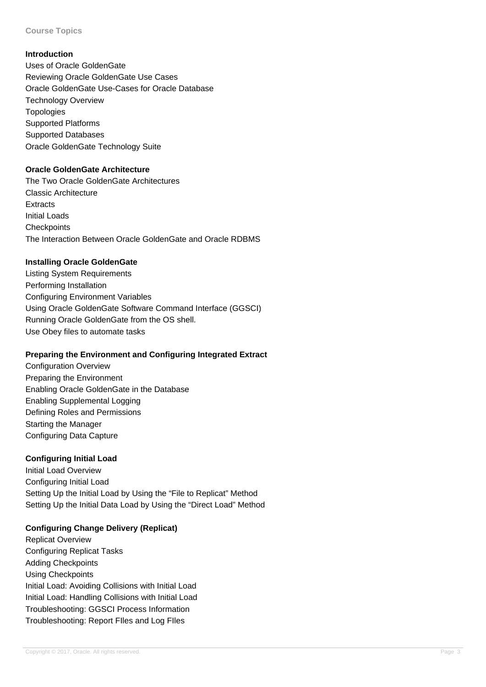**Course Topics**

#### **Introduction**

Uses of Oracle GoldenGate Reviewing Oracle GoldenGate Use Cases Oracle GoldenGate Use-Cases for Oracle Database Technology Overview Topologies Supported Platforms Supported Databases Oracle GoldenGate Technology Suite

### **Oracle GoldenGate Architecture**

The Two Oracle GoldenGate Architectures Classic Architecture **Extracts** Initial Loads **Checkpoints** The Interaction Between Oracle GoldenGate and Oracle RDBMS

### **Installing Oracle GoldenGate**

Listing System Requirements Performing Installation Configuring Environment Variables Using Oracle GoldenGate Software Command Interface (GGSCI) Running Oracle GoldenGate from the OS shell. Use Obey files to automate tasks

## **Preparing the Environment and Configuring Integrated Extract**

Configuration Overview Preparing the Environment Enabling Oracle GoldenGate in the Database Enabling Supplemental Logging Defining Roles and Permissions Starting the Manager Configuring Data Capture

### **Configuring Initial Load**

Initial Load Overview Configuring Initial Load Setting Up the Initial Load by Using the "File to Replicat" Method Setting Up the Initial Data Load by Using the "Direct Load" Method

## **Configuring Change Delivery (Replicat)**

Replicat Overview Configuring Replicat Tasks Adding Checkpoints Using Checkpoints Initial Load: Avoiding Collisions with Initial Load Initial Load: Handling Collisions with Initial Load Troubleshooting: GGSCI Process Information Troubleshooting: Report FIles and Log FIles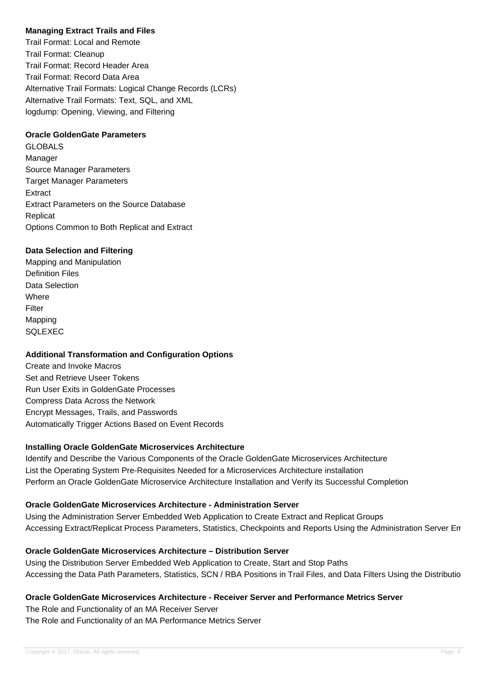## **Managing Extract Trails and Files**

Trail Format: Local and Remote Trail Format: Cleanup Trail Format: Record Header Area Trail Format: Record Data Area Alternative Trail Formats: Logical Change Records (LCRs) Alternative Trail Formats: Text, SQL, and XML logdump: Opening, Viewing, and Filtering

### **Oracle GoldenGate Parameters**

GLOBALS Manager Source Manager Parameters Target Manager Parameters Extract Extract Parameters on the Source Database **Replicat** Options Common to Both Replicat and Extract

### **Data Selection and Filtering**

Mapping and Manipulation Definition Files Data Selection **Where** Filter Mapping SQLEXEC

## **Additional Transformation and Configuration Options**

Create and Invoke Macros Set and Retrieve Useer Tokens Run User Exits in GoldenGate Processes Compress Data Across the Network Encrypt Messages, Trails, and Passwords Automatically Trigger Actions Based on Event Records

#### **Installing Oracle GoldenGate Microservices Architecture**

Identify and Describe the Various Components of the Oracle GoldenGate Microservices Architecture List the Operating System Pre-Requisites Needed for a Microservices Architecture installation Perform an Oracle GoldenGate Microservice Architecture Installation and Verify its Successful Completion

### **Oracle GoldenGate Microservices Architecture - Administration Server**

Using the Administration Server Embedded Web Application to Create Extract and Replicat Groups Accessing Extract/Replicat Process Parameters, Statistics, Checkpoints and Reports Using the Administration Server En

## **Oracle GoldenGate Microservices Architecture – Distribution Server**

Using the Distribution Server Embedded Web Application to Create, Start and Stop Paths Accessing the Data Path Parameters, Statistics, SCN / RBA Positions in Trail Files, and Data Filters Using the Distributio

## **Oracle GoldenGate Microservices Architecture - Receiver Server and Performance Metrics Server**

The Role and Functionality of an MA Receiver Server The Role and Functionality of an MA Performance Metrics Server